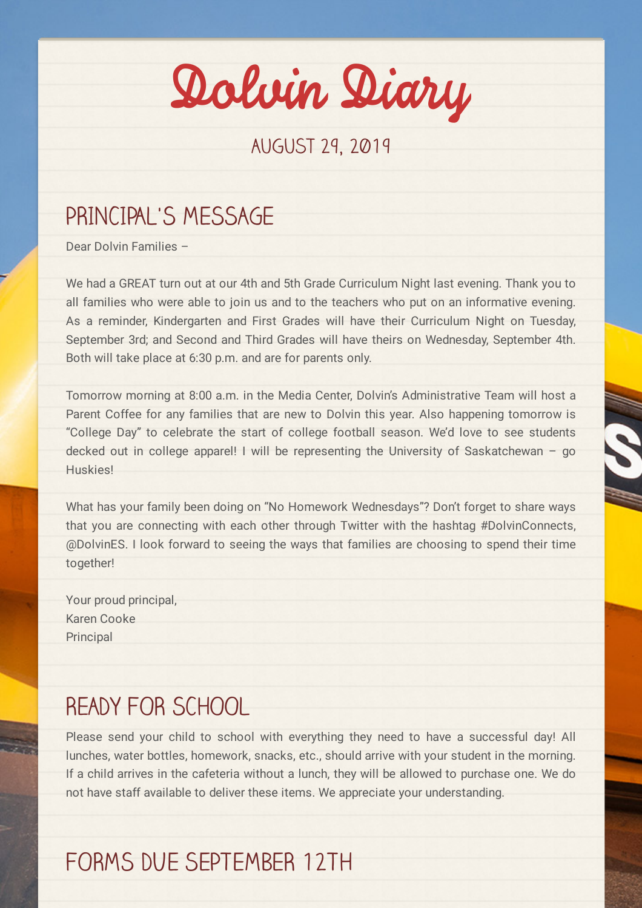Dolvin Diary

#### August 29, 2019

## PRINCIPAL'S MESSAGE

Dear Dolvin Families –

We had a GREAT turn out at our 4th and 5th Grade Curriculum Night last evening. Thank you to all families who were able to join us and to the teachers who put on an informative evening. As a reminder, Kindergarten and First Grades will have their Curriculum Night on Tuesday, September 3rd; and Second and Third Grades will have theirs on Wednesday, September 4th. Both will take place at 6:30 p.m. and are for parents only.

Tomorrow morning at 8:00 a.m. in the Media Center, Dolvin's Administrative Team will host a Parent Coffee for any families that are new to Dolvin this year. Also happening tomorrow is "College Day" to celebrate the start of college football season. We'd love to see students decked out in college apparel! I will be representing the University of Saskatchewan – go Huskies!

What has your family been doing on "No Homework Wednesdays"? Don't forget to share ways that you are connecting with each other through Twitter with the hashtag #DolvinConnects, @DolvinES. I look forward to seeing the ways that families are choosing to spend their time together!

Your proud principal, Karen Cooke **Principal** 

#### READY FOR SCHOOL

Please send your child to school with everything they need to have a successful day! All lunches, water bottles, homework, snacks, etc., should arrive with your student in the morning. If a child arrives in the cafeteria without a lunch, they will be allowed to purchase one. We do not have staff available to deliver these items. We appreciate your understanding.

# FORMS DUE SEPTEMBER 12TH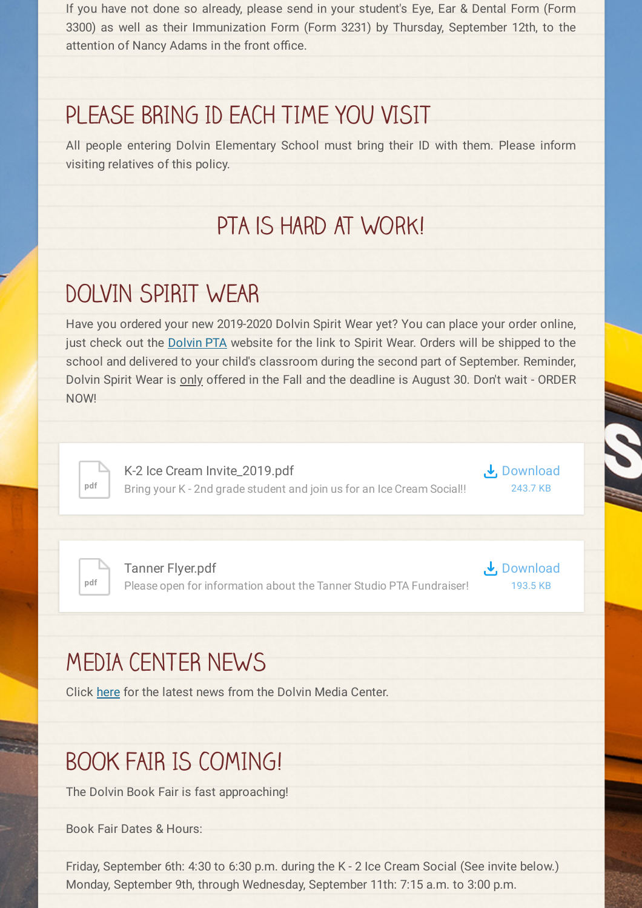If you have not done so already, please send in your student's Eye, Ear & Dental Form (Form 3300) as well as their Immunization Form (Form 3231) by Thursday, September 12th, to the attention of Nancy Adams in the front office.

## PLEASE BRING ID EACH TIME YOU VISIT

All people entering Dolvin Elementary School must bring their ID with them. Please inform visiting relatives of this policy.

## PTA is Hard at Work!

# DOLVIN SPIRIT WEAR

Have you ordered your new 2019-2020 Dolvin Spirit Wear yet? You can place your order online, just check out the [Dolvin](http://dolvinpta.org/) PTA website for the link to Spirit Wear. Orders will be shipped to the school and delivered to your child's classroom during the second part of September. Reminder, Dolvin Spirit Wear is only offered in the Fall and the deadline is August 30. Don't wait - ORDER NOW!



K-2 Ice Cream [Invite\\_2019.pdf](https://www.smore.com/app/attachments/download/5d5a987bfbbb59007d706b93) Bring your K - 2nd grade student and join us for an Ice Cream Social!!



**pdf**

Tanner Flyer.pdf Please open for information about the Tanner Studio PTA Fundraiser! **↓**, [Download](https://www.smore.com/app/attachments/download/5d63e64fdeec8400137c28b6) 193.5 KB

# MEDIA CENTER NEWS

Click [here](https://nam03.safelinks.protection.outlook.com/?url=http%3A%2F%2Fdolvinmedia.weebly.com%2Fmc-news&data=02%7C01%7CCarper%40fultonschools.org%7C03b9352cbe144f54421808d727ecdb0f%7C0cdcb19881694b70ba9fda7e3ba700c2%7C1%7C0%7C637021771680090914&sdata=9cnEAXHSfawfhBYvv7s5oAWXOFLiF62P45KJ83Prw6E%3D&reserved=0) for the latest news from the Dolvin Media Center.

# BOOK FAIR IS COMING!

The Dolvin Book Fair is fast approaching!

Book Fair Dates & Hours:

Friday, September 6th: 4:30 to 6:30 p.m. during the K - 2 Ice Cream Social (See invite below.) Monday, September 9th, through Wednesday, September 11th: 7:15 a.m. to 3:00 p.m.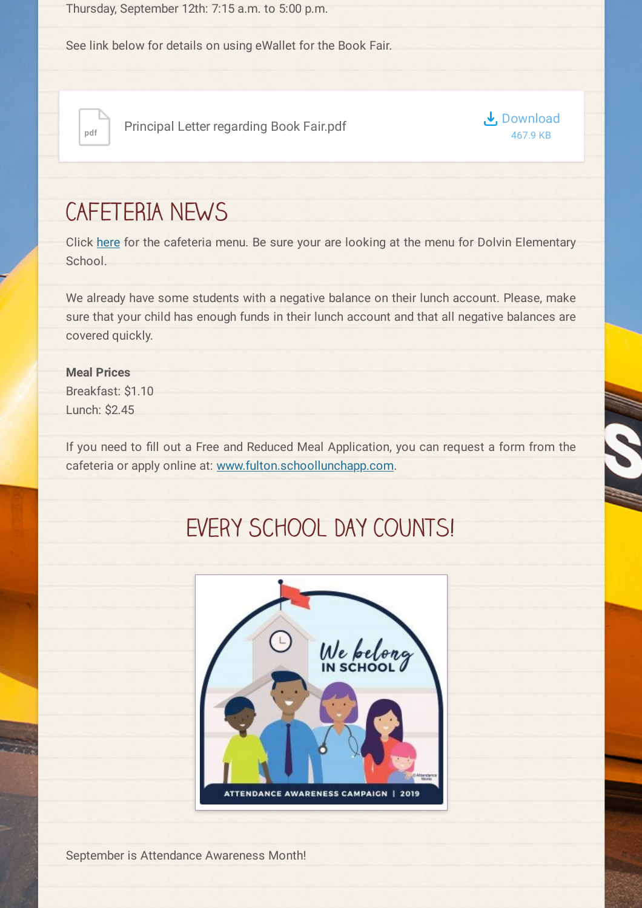Thursday, September 12th: 7:15 a.m. to 5:00 p.m.

See link below for details on using eWallet for the Book Fair.



<sub>pdf</sub> Principal Letter regarding Book Fair.pdf



## CAFETERIA NEWS

Click [here](https://nutrition.fultonschools.org/MenuCalendar) for the cafeteria menu. Be sure your are looking at the menu for Dolvin Elementary School.

We already have some students with a negative balance on their lunch account. Please, make sure that your child has enough funds in their lunch account and that all negative balances are covered quickly.

#### **Meal Prices**

Breakfast: \$1.10 Lunch: \$2.45

If you need to fill out a Free and Reduced Meal Application, you can request a form from the cafeteria or apply online at: [www.fulton.schoollunchapp.com](http://www.fulton.schoollunchapp.com/).

# EVERY SCHOOL DAY COUNTS!



September is Attendance Awareness Month!